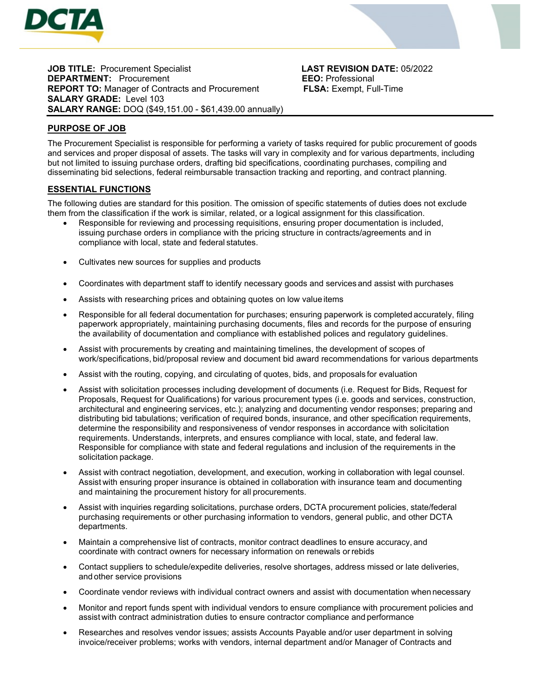

**JOB TITLE:** Procurement Specialist **LAST REVISION DATE:** 05/2022 **DEPARTMENT:** Procurement **EEO:** Professional **REPORT TO:** Manager of Contracts and Procurement **ELSA:** Exempt. Full-Time **REPORT TO: Manager of Contracts and Procurement SALARY GRADE:** Level 103 **SALARY RANGE:** DOQ (\$49,151.00 - \$61,439.00 annually)

# **PURPOSE OF JOB**

The Procurement Specialist is responsible for performing a variety of tasks required for public procurement of goods and services and proper disposal of assets. The tasks will vary in complexity and for various departments, including but not limited to issuing purchase orders, drafting bid specifications, coordinating purchases, compiling and disseminating bid selections, federal reimbursable transaction tracking and reporting, and contract planning.

# **ESSENTIAL FUNCTIONS**

The following duties are standard for this position. The omission of specific statements of duties does not exclude them from the classification if the work is similar, related, or a logical assignment for this classification.

- Responsible for reviewing and processing requisitions, ensuring proper documentation is included, issuing purchase orders in compliance with the pricing structure in contracts/agreements and in compliance with local, state and federal statutes.
- Cultivates new sources for supplies and products
- Coordinates with department staff to identify necessary goods and services and assist with purchases
- Assists with researching prices and obtaining quotes on low value items
- Responsible for all federal documentation for purchases; ensuring paperwork is completed accurately, filing paperwork appropriately, maintaining purchasing documents, files and records for the purpose of ensuring the availability of documentation and compliance with established polices and regulatory guidelines.
- Assist with procurements by creating and maintaining timelines, the development of scopes of work/specifications, bid/proposal review and document bid award recommendations for various departments
- Assist with the routing, copying, and circulating of quotes, bids, and proposals for evaluation
- Assist with solicitation processes including development of documents (i.e. Request for Bids, Request for Proposals, Request for Qualifications) for various procurement types (i.e. goods and services, construction, architectural and engineering services, etc.); analyzing and documenting vendor responses; preparing and distributing bid tabulations; verification of required bonds, insurance, and other specification requirements, determine the responsibility and responsiveness of vendor responses in accordance with solicitation requirements. Understands, interprets, and ensures compliance with local, state, and federal law. Responsible for compliance with state and federal regulations and inclusion of the requirements in the solicitation package.
- Assist with contract negotiation, development, and execution, working in collaboration with legal counsel. Assist with ensuring proper insurance is obtained in collaboration with insurance team and documenting and maintaining the procurement history for all procurements.
- Assist with inquiries regarding solicitations, purchase orders, DCTA procurement policies, state/federal purchasing requirements or other purchasing information to vendors, general public, and other DCTA departments.
- Maintain a comprehensive list of contracts, monitor contract deadlines to ensure accuracy, and coordinate with contract owners for necessary information on renewals orrebids
- Contact suppliers to schedule/expedite deliveries, resolve shortages, address missed or late deliveries, and other service provisions
- Coordinate vendor reviews with individual contract owners and assist with documentation when necessary
- Monitor and report funds spent with individual vendors to ensure compliance with procurement policies and assist with contract administration duties to ensure contractor compliance and performance
- Researches and resolves vendor issues; assists Accounts Payable and/or user department in solving invoice/receiver problems; works with vendors, internal department and/or Manager of Contracts and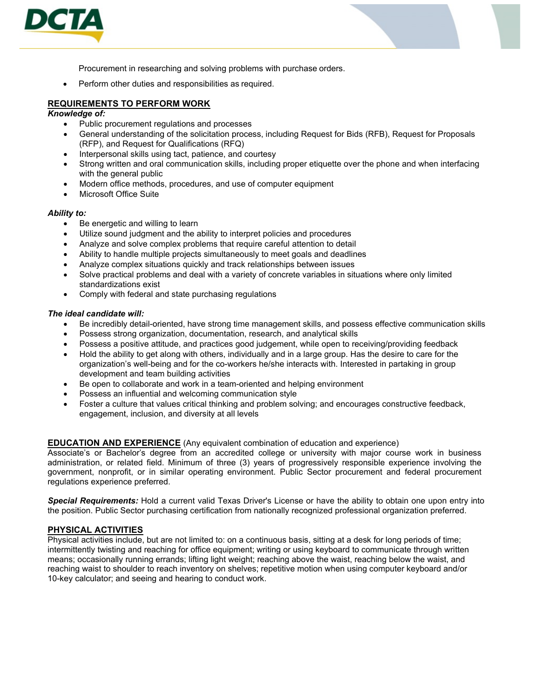

Procurement in researching and solving problems with purchase orders.

• Perform other duties and responsibilities as required.

# **REQUIREMENTS TO PERFORM WORK**

#### *Knowledge of:*

- Public procurement regulations and processes
- General understanding of the solicitation process, including Request for Bids (RFB), Request for Proposals (RFP), and Request for Qualifications (RFQ)
- Interpersonal skills using tact, patience, and courtesy
- Strong written and oral communication skills, including proper etiquette over the phone and when interfacing with the general public
- Modern office methods, procedures, and use of computer equipment
- **Microsoft Office Suite**

#### *Ability to:*

- Be energetic and willing to learn
- Utilize sound judgment and the ability to interpret policies and procedures
- Analyze and solve complex problems that require careful attention to detail
- Ability to handle multiple projects simultaneously to meet goals and deadlines
- Analyze complex situations quickly and track relationships between issues
- Solve practical problems and deal with a variety of concrete variables in situations where only limited standardizations exist
- Comply with federal and state purchasing regulations

#### *The ideal candidate will:*

- Be incredibly detail-oriented, have strong time management skills, and possess effective communication skills
- Possess strong organization, documentation, research, and analytical skills
- Possess a positive attitude, and practices good judgement, while open to receiving/providing feedback
- Hold the ability to get along with others, individually and in a large group. Has the desire to care for the organization's well-being and for the co-workers he/she interacts with. Interested in partaking in group development and team building activities
- Be open to collaborate and work in a team-oriented and helping environment
- Possess an influential and welcoming communication style
- Foster a culture that values critical thinking and problem solving; and encourages constructive feedback, engagement, inclusion, and diversity at all levels

## **EDUCATION AND EXPERIENCE** (Any equivalent combination of education and experience)

Associate's or Bachelor's degree from an accredited college or university with major course work in business administration, or related field. Minimum of three (3) years of progressively responsible experience involving the government, nonprofit, or in similar operating environment. Public Sector procurement and federal procurement regulations experience preferred.

*Special Requirements:* Hold a current valid Texas Driver's License or have the ability to obtain one upon entry into the position. Public Sector purchasing certification from nationally recognized professional organization preferred.

## **PHYSICAL ACTIVITIES**

Physical activities include, but are not limited to: on a continuous basis, sitting at a desk for long periods of time; intermittently twisting and reaching for office equipment; writing or using keyboard to communicate through written means; occasionally running errands; lifting light weight; reaching above the waist, reaching below the waist, and reaching waist to shoulder to reach inventory on shelves; repetitive motion when using computer keyboard and/or 10-key calculator; and seeing and hearing to conduct work.